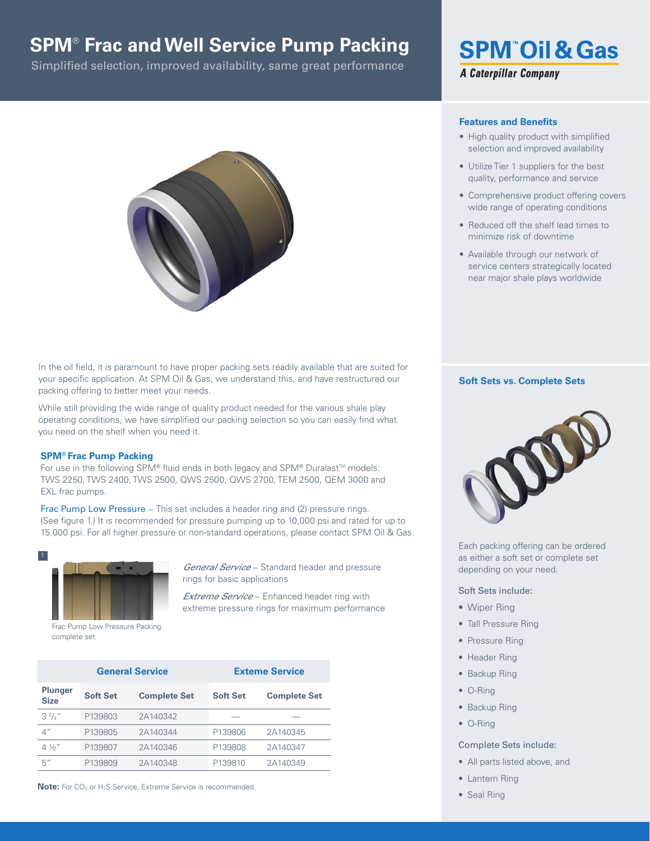## **SPM**®  **Frac and Well Service Pump Packing**

Simplified selection, improved availability, same great performance



In the oil field, it is paramount to have proper packing sets readily available that are suited for your specific application. At SPM Oil & Gas, we understand this, and have restructured our packing offering to better meet your needs.

While still providing the wide range of quality product needed for the various shale play operating conditions, we have simplified our packing selection so you can easily find what you need on the shelf when you need it.

#### **SPM® Frac Pump Packing**

For use in the following SPM® fluid ends in both legacy and SPM® Duralast™ models: TWS 2250, TWS 2400, TWS 2500, QWS 2500, QWS 2700, TEM 2500, QEM 3000 and EXL frac pumps.

Frac Pump Low Pressure – This set includes a header ring and (2) pressure rings. (See figure 1.) It is recommended for pressure pumping up to 10,000 psi and rated for up to 15,000 psi. For all higher pressure or non-standard operations, please contact SPM Oil & Gas.



Frac Pump Low Pressure Packing complete set

*General Service* − Standard header and pressure rings for basic applications

*Extreme Service* − Enhanced header ring with extreme pressure rings for maximum performance

|                               | <b>General Service</b> | <b>Exteme Service</b> |                 |                     |
|-------------------------------|------------------------|-----------------------|-----------------|---------------------|
| <b>Plunger</b><br><b>Size</b> | <b>Soft Set</b>        | <b>Complete Set</b>   | <b>Soft Set</b> | <b>Complete Set</b> |
| $3^{3}/_{4}$ "                | P139803                | 2A140342              |                 |                     |
| 4"                            | P139805                | 2A140344              | P139806         | 2A140345            |
| $4\frac{1}{2}$                | P139807                | 2A140346              | P139808         | 2A140347            |
| 5"                            | P139809                | 2A140348              | P139810         | 2A140349            |

**Note:** For CO<sub>2</sub> or H<sub>2</sub>S Service, Extreme Service is recommended.

# **SPM Oil & Gas A Caterpillar Company**

### **Features and Benefits**

- High quality product with simplified selection and improved availability
- Utilize Tier 1 suppliers for the best quality, performance and service
- Comprehensive product offering covers wide range of operating conditions
- Reduced off the shelf lead times to minimize risk of downtime
- Available through our network of service centers strategically located near major shale plays worldwide

#### **Soft Sets vs. Complete Sets**



Each packing offering can be ordered as either a soft set or complete set depending on your need.

#### Soft Sets include:

- Wiper Ring
- Tall Pressure Ring
- Pressure Ring
- Header Ring
- Backup Ring
- O-Ring
- Backup Ring
- O-Ring

#### Complete Sets include:

- All parts listed above, and
- Lantern Ring
- Seal Ring